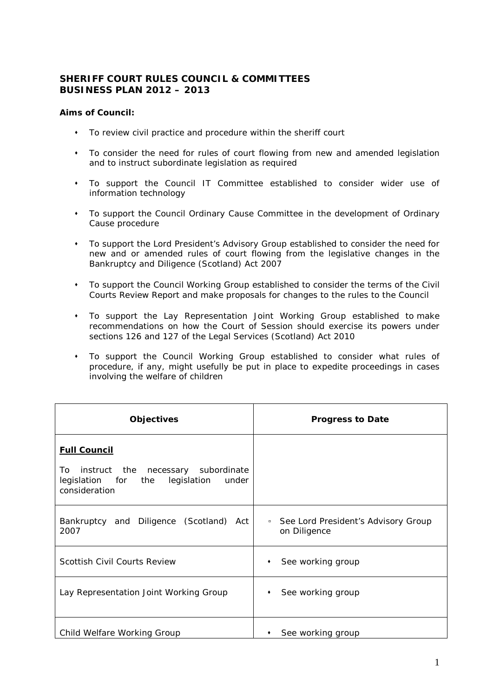## **SHERIFF COURT RULES COUNCIL & COMMITTEES BUSINESS PLAN 2012 – 2013**

## **Aims of Council:**

- To review civil practice and procedure within the sheriff court
- To consider the need for rules of court flowing from new and amended legislation and to instruct subordinate legislation as required
- To support the Council IT Committee established to consider wider use of information technology
- To support the Council Ordinary Cause Committee in the development of Ordinary Cause procedure
- To support the Lord President's Advisory Group established to consider the need for new and or amended rules of court flowing from the legislative changes in the Bankruptcy and Diligence (Scotland) Act 2007
- To support the Council Working Group established to consider the terms of the Civil Courts Review Report and make proposals for changes to the rules to the Council
- To support the Lay Representation Joint Working Group established to make recommendations on how the Court of Session should exercise its powers under sections 126 and 127 of the Legal Services (Scotland) Act 2010
- To support the Council Working Group established to consider what rules of procedure, if any, might usefully be put in place to expedite proceedings in cases involving the welfare of children

| <b>Objectives</b>                                                                                                            | <b>Progress to Date</b>                                       |
|------------------------------------------------------------------------------------------------------------------------------|---------------------------------------------------------------|
| <b>Full Council</b><br>instruct the necessary subordinate<br>To<br>legislation for the legislation<br>under<br>consideration |                                                               |
| Bankruptcy and Diligence (Scotland)<br>Act<br>2007                                                                           | See Lord President's Advisory Group<br>$\Box$<br>on Diligence |
| <b>Scottish Civil Courts Review</b>                                                                                          | See working group<br>٠                                        |
| Lay Representation Joint Working Group                                                                                       | See working group<br>٠                                        |
| Child Welfare Working Group                                                                                                  | See working group                                             |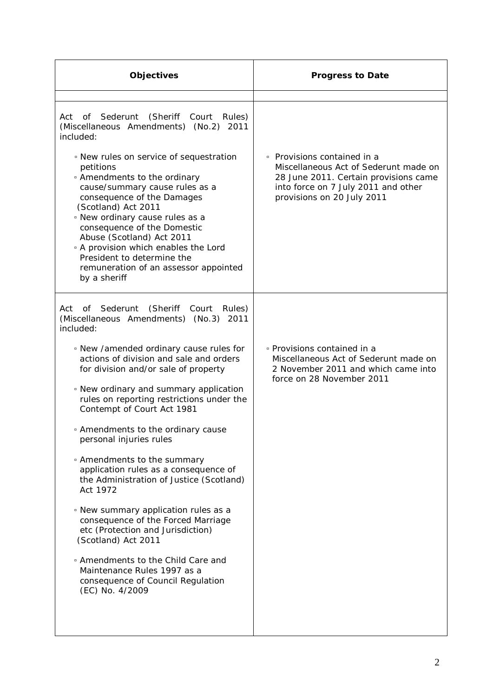| <b>Objectives</b>                                                                                                                                                                                                                                                                                                                                                                                                                                                                                                                                                                                                                                                                                                                                                                                                                         | <b>Progress to Date</b>                                                                                                                                                            |
|-------------------------------------------------------------------------------------------------------------------------------------------------------------------------------------------------------------------------------------------------------------------------------------------------------------------------------------------------------------------------------------------------------------------------------------------------------------------------------------------------------------------------------------------------------------------------------------------------------------------------------------------------------------------------------------------------------------------------------------------------------------------------------------------------------------------------------------------|------------------------------------------------------------------------------------------------------------------------------------------------------------------------------------|
| Act of Sederunt (Sheriff Court<br>Rules)<br>(Miscellaneous Amendments) (No.2)<br>2011<br>included:<br>• New rules on service of sequestration<br>petitions<br><sup>o</sup> Amendments to the ordinary<br>cause/summary cause rules as a<br>consequence of the Damages<br>(Scotland) Act 2011<br>. New ordinary cause rules as a<br>consequence of the Domestic<br>Abuse (Scotland) Act 2011<br><sup>o</sup> A provision which enables the Lord<br>President to determine the<br>remuneration of an assessor appointed<br>by a sheriff                                                                                                                                                                                                                                                                                                     | • Provisions contained in a<br>Miscellaneous Act of Sederunt made on<br>28 June 2011. Certain provisions came<br>into force on 7 July 2011 and other<br>provisions on 20 July 2011 |
| Sederunt<br>(Sheriff<br>of<br>Court<br>Rules)<br>Act<br>(Miscellaneous Amendments) (No.3)<br>2011<br>included:<br>. New /amended ordinary cause rules for<br>actions of division and sale and orders<br>for division and/or sale of property<br>• New ordinary and summary application<br>rules on reporting restrictions under the<br>Contempt of Court Act 1981<br>• Amendments to the ordinary cause<br>personal injuries rules<br>• Amendments to the summary<br>application rules as a consequence of<br>the Administration of Justice (Scotland)<br>Act 1972<br>• New summary application rules as a<br>consequence of the Forced Marriage<br>etc (Protection and Jurisdiction)<br>(Scotland) Act 2011<br>• Amendments to the Child Care and<br>Maintenance Rules 1997 as a<br>consequence of Council Regulation<br>(EC) No. 4/2009 | • Provisions contained in a<br>Miscellaneous Act of Sederunt made on<br>2 November 2011 and which came into<br>force on 28 November 2011                                           |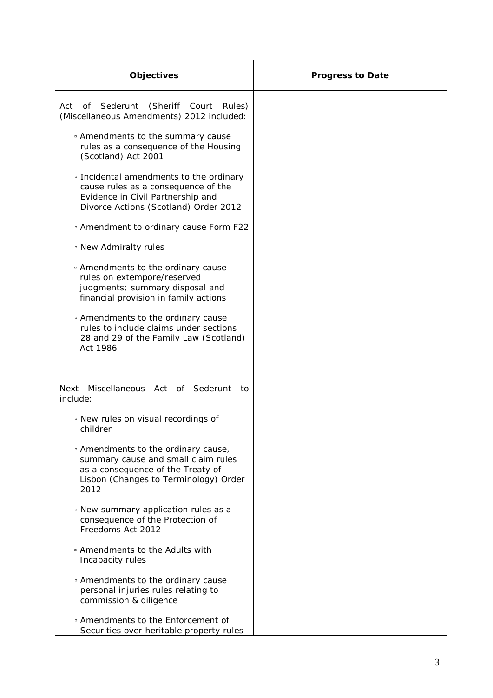| <b>Objectives</b>                                                                                                                                                           | <b>Progress to Date</b> |
|-----------------------------------------------------------------------------------------------------------------------------------------------------------------------------|-------------------------|
| of Sederunt<br>(Sheriff Court Rules)<br>Act<br>(Miscellaneous Amendments) 2012 included:                                                                                    |                         |
| • Amendments to the summary cause<br>rules as a consequence of the Housing<br>(Scotland) Act 2001                                                                           |                         |
| • Incidental amendments to the ordinary<br>cause rules as a consequence of the<br>Evidence in Civil Partnership and<br>Divorce Actions (Scotland) Order 2012                |                         |
| <sup>o</sup> Amendment to ordinary cause Form F22                                                                                                                           |                         |
| . New Admiralty rules                                                                                                                                                       |                         |
| • Amendments to the ordinary cause<br>rules on extempore/reserved<br>judgments; summary disposal and<br>financial provision in family actions                               |                         |
| • Amendments to the ordinary cause<br>rules to include claims under sections<br>28 and 29 of the Family Law (Scotland)<br>Act 1986                                          |                         |
| Miscellaneous Act of Sederunt<br><b>Next</b><br>to:<br>include:                                                                                                             |                         |
| • New rules on visual recordings of<br>children                                                                                                                             |                         |
| <sup>o</sup> Amendments to the ordinary cause,<br>summary cause and small claim rules<br>as a consequence of the Treaty of<br>Lisbon (Changes to Terminology) Order<br>2012 |                         |
| • New summary application rules as a<br>consequence of the Protection of<br>Freedoms Act 2012                                                                               |                         |
| . Amendments to the Adults with<br>Incapacity rules                                                                                                                         |                         |
| • Amendments to the ordinary cause<br>personal injuries rules relating to<br>commission & diligence                                                                         |                         |
| <sup>o</sup> Amendments to the Enforcement of<br>Securities over heritable property rules                                                                                   |                         |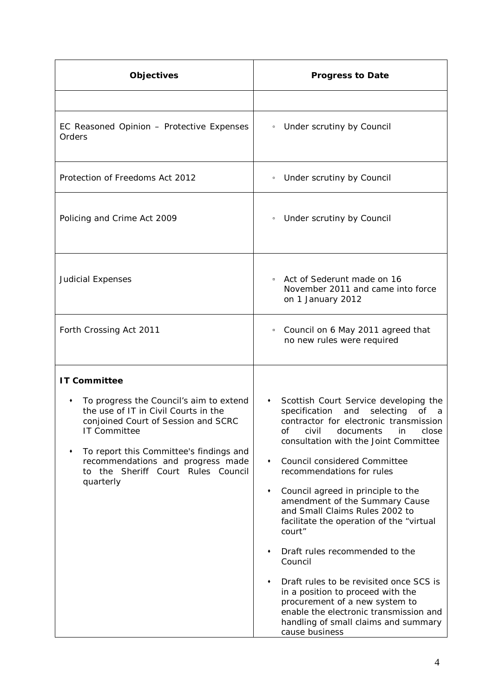| <b>Objectives</b>                                                                                                                                                                                                                                                                   | <b>Progress to Date</b>                                                                                                                                                                                                                                                       |
|-------------------------------------------------------------------------------------------------------------------------------------------------------------------------------------------------------------------------------------------------------------------------------------|-------------------------------------------------------------------------------------------------------------------------------------------------------------------------------------------------------------------------------------------------------------------------------|
|                                                                                                                                                                                                                                                                                     |                                                                                                                                                                                                                                                                               |
| EC Reasoned Opinion - Protective Expenses<br>Orders                                                                                                                                                                                                                                 | • Under scrutiny by Council                                                                                                                                                                                                                                                   |
| Protection of Freedoms Act 2012                                                                                                                                                                                                                                                     | • Under scrutiny by Council                                                                                                                                                                                                                                                   |
| Policing and Crime Act 2009                                                                                                                                                                                                                                                         | • Under scrutiny by Council                                                                                                                                                                                                                                                   |
| <b>Judicial Expenses</b>                                                                                                                                                                                                                                                            | • Act of Sederunt made on 16<br>November 2011 and came into force<br>on 1 January 2012                                                                                                                                                                                        |
| Forth Crossing Act 2011                                                                                                                                                                                                                                                             | • Council on 6 May 2011 agreed that<br>no new rules were required                                                                                                                                                                                                             |
| <b>IT Committee</b>                                                                                                                                                                                                                                                                 |                                                                                                                                                                                                                                                                               |
| To progress the Council's aim to extend<br>٠<br>the use of IT in Civil Courts in the<br>conjoined Court of Session and SCRC<br>IT Committee<br>To report this Committee's findings and<br>٠<br>recommendations and progress made<br>to the Sheriff Court Rules Council<br>quarterly | Scottish Court Service developing the<br>$\bullet$<br>specification and<br>selecting of a<br>contractor for electronic transmission<br>of civil documents in close<br>consultation with the Joint Committee<br>Council considered Committee<br>٠<br>recommendations for rules |
|                                                                                                                                                                                                                                                                                     | Council agreed in principle to the<br>٠<br>amendment of the Summary Cause<br>and Small Claims Rules 2002 to<br>facilitate the operation of the "virtual<br>court"                                                                                                             |
|                                                                                                                                                                                                                                                                                     | Draft rules recommended to the<br>٠<br>Council                                                                                                                                                                                                                                |
|                                                                                                                                                                                                                                                                                     | Draft rules to be revisited once SCS is<br>٠<br>in a position to proceed with the<br>procurement of a new system to<br>enable the electronic transmission and<br>handling of small claims and summary<br>cause business                                                       |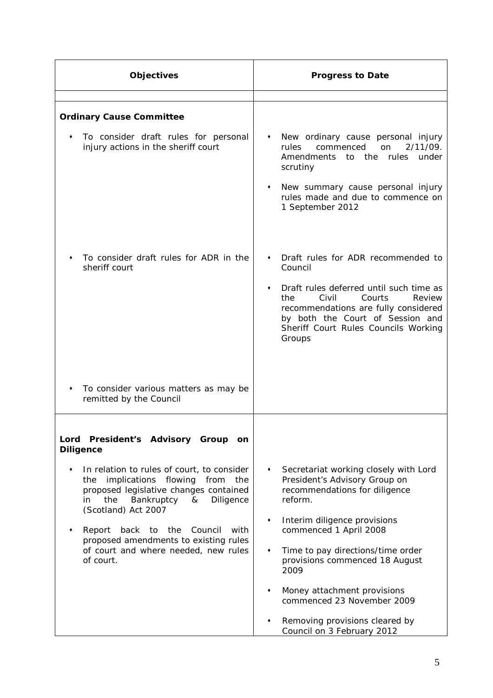| Objectives                                                                                                                                                                                                  | <b>Progress to Date</b>                                                                                                                                                                                                    |
|-------------------------------------------------------------------------------------------------------------------------------------------------------------------------------------------------------------|----------------------------------------------------------------------------------------------------------------------------------------------------------------------------------------------------------------------------|
|                                                                                                                                                                                                             |                                                                                                                                                                                                                            |
| <b>Ordinary Cause Committee</b>                                                                                                                                                                             |                                                                                                                                                                                                                            |
| To consider draft rules for personal<br>injury actions in the sheriff court                                                                                                                                 | New ordinary cause personal injury<br>٠<br>2/11/09.<br>commenced<br>rules<br>on<br>Amendments to the rules under<br>scrutiny<br>New summary cause personal injury<br>rules made and due to commence on<br>1 September 2012 |
| To consider draft rules for ADR in the<br>sheriff court                                                                                                                                                     | Draft rules for ADR recommended to<br>Council                                                                                                                                                                              |
|                                                                                                                                                                                                             | Draft rules deferred until such time as<br>٠<br>the<br>Civil<br>Courts<br>Review<br>recommendations are fully considered<br>by both the Court of Session and<br>Sheriff Court Rules Councils Working<br>Groups             |
| To consider various matters as may be<br>remitted by the Council                                                                                                                                            |                                                                                                                                                                                                                            |
|                                                                                                                                                                                                             |                                                                                                                                                                                                                            |
| Lord President's Advisory Group<br><b>on</b><br><b>Diligence</b>                                                                                                                                            |                                                                                                                                                                                                                            |
| In relation to rules of court, to consider<br>٠<br>implications flowing<br>from<br>the<br>the<br>proposed legislative changes contained<br>Bankruptcy<br>Diligence<br>the<br>&<br>in<br>(Scotland) Act 2007 | Secretariat working closely with Lord<br>٠<br>President's Advisory Group on<br>recommendations for diligence<br>reform.                                                                                                    |
| the<br>Report<br>back<br>to<br>Council<br>with<br>proposed amendments to existing rules                                                                                                                     | Interim diligence provisions<br>٠<br>commenced 1 April 2008                                                                                                                                                                |
| of court and where needed, new rules<br>of court.                                                                                                                                                           | Time to pay directions/time order<br>٠<br>provisions commenced 18 August<br>2009                                                                                                                                           |
|                                                                                                                                                                                                             | Money attachment provisions<br>٠<br>commenced 23 November 2009                                                                                                                                                             |
|                                                                                                                                                                                                             | Removing provisions cleared by<br>Council on 3 February 2012                                                                                                                                                               |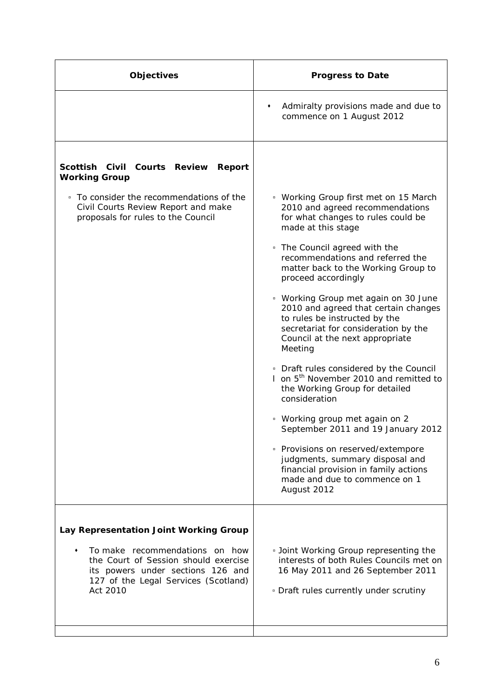| <b>Objectives</b>                                                                                                                                                    | <b>Progress to Date</b>                                                                                                                                                                             |
|----------------------------------------------------------------------------------------------------------------------------------------------------------------------|-----------------------------------------------------------------------------------------------------------------------------------------------------------------------------------------------------|
|                                                                                                                                                                      | Admiralty provisions made and due to<br>٠<br>commence on 1 August 2012                                                                                                                              |
| Scottish Civil Courts Review<br>Report<br><b>Working Group</b>                                                                                                       |                                                                                                                                                                                                     |
| • To consider the recommendations of the<br>Civil Courts Review Report and make<br>proposals for rules to the Council                                                | • Working Group first met on 15 March<br>2010 and agreed recommendations<br>for what changes to rules could be<br>made at this stage                                                                |
|                                                                                                                                                                      | • The Council agreed with the<br>recommendations and referred the<br>matter back to the Working Group to<br>proceed accordingly                                                                     |
|                                                                                                                                                                      | " Working Group met again on 30 June<br>2010 and agreed that certain changes<br>to rules be instructed by the<br>secretariat for consideration by the<br>Council at the next appropriate<br>Meeting |
|                                                                                                                                                                      | • Draft rules considered by the Council<br>1 on 5 <sup>th</sup> November 2010 and remitted to<br>the Working Group for detailed<br>consideration                                                    |
|                                                                                                                                                                      | <sup>o</sup> Working group met again on 2<br>September 2011 and 19 January 2012                                                                                                                     |
|                                                                                                                                                                      | • Provisions on reserved/extempore<br>judgments, summary disposal and<br>financial provision in family actions<br>made and due to commence on 1<br>August 2012                                      |
| Lay Representation Joint Working Group                                                                                                                               |                                                                                                                                                                                                     |
| To make recommendations on how<br>٠<br>the Court of Session should exercise<br>its powers under sections 126 and<br>127 of the Legal Services (Scotland)<br>Act 2010 | <b>Joint Working Group representing the</b><br>interests of both Rules Councils met on<br>16 May 2011 and 26 September 2011<br>. Draft rules currently under scrutiny                               |
|                                                                                                                                                                      |                                                                                                                                                                                                     |